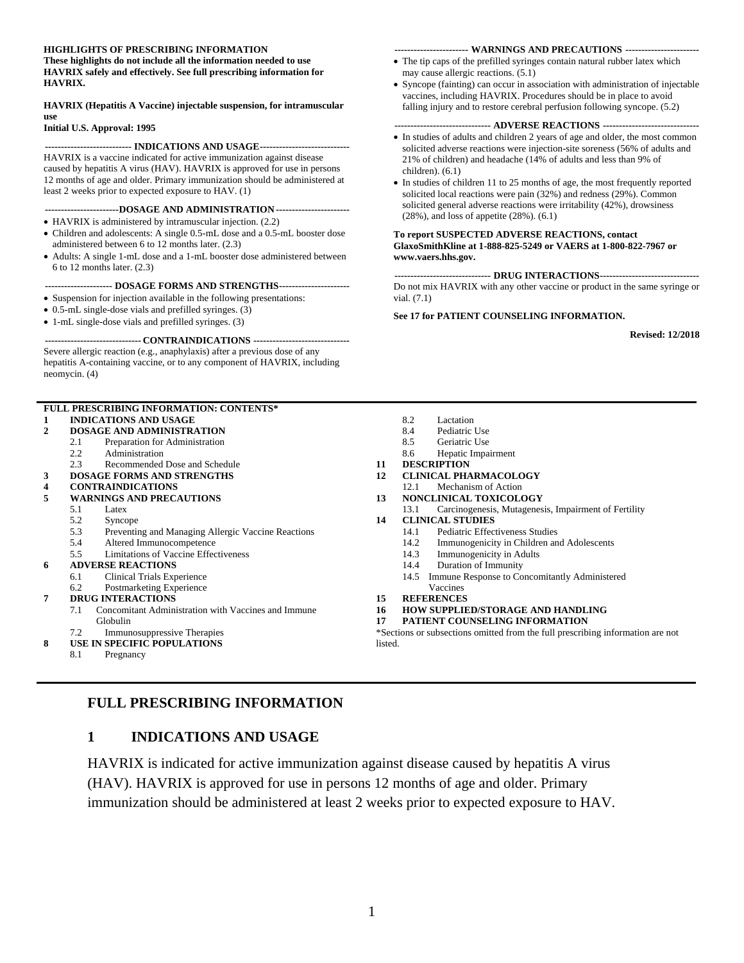#### **HIGHLIGHTS OF PRESCRIBING INFORMATION**

**These highlights do not include all the information needed to use HAVRIX safely and effectively. See full prescribing information for HAVRIX.**

#### **HAVRIX (Hepatitis A Vaccine) injectable suspension, for intramuscular use**

#### **Initial U.S. Approval: 1995**

#### **--------------------------- INDICATIONS AND USAGE----------------------------**

HAVRIX is a vaccine indicated for active immunization against disease caused by hepatitis A virus (HAV). HAVRIX is approved for use in persons 12 months of age and older. Primary immunization should be administered at least 2 weeks prior to expected exposure to HAV. (1)

### **-----------------------DOSAGE AND ADMINISTRATION-----------------------**

- HAVRIX is administered by intramuscular injection. (2.2)
- Children and adolescents: A single 0.5-mL dose and a 0.5-mL booster dose administered between 6 to 12 months later. (2.3)
- Adults: A single 1-mL dose and a 1-mL booster dose administered between 6 to 12 months later. (2.3)

#### **--------------------- DOSAGE FORMS AND STRENGTHS----------------------**

- Suspension for injection available in the following presentations:
- 0.5-mL single-dose vials and prefilled syringes. (3)
- 1-mL single-dose vials and prefilled syringes. (3)

#### **------------------------------ CONTRAINDICATIONS ------------------------------** Severe allergic reaction (e.g., anaphylaxis) after a previous dose of any hepatitis A-containing vaccine, or to any component of HAVRIX, including neomycin. (4)

|   |                                                           | <b>FULL PRESCRIBING INFORMATION: CONTENTS*</b>      |         |  |  |
|---|-----------------------------------------------------------|-----------------------------------------------------|---------|--|--|
| 1 |                                                           | <b>INDICATIONS AND USAGE</b>                        |         |  |  |
| 2 | <b>DOSAGE AND ADMINISTRATION</b>                          |                                                     |         |  |  |
|   | 2.1                                                       | Preparation for Administration                      |         |  |  |
|   | 2.2                                                       | Administration                                      |         |  |  |
|   | 2.3                                                       | Recommended Dose and Schedule                       | 11      |  |  |
| 3 |                                                           | <b>DOSAGE FORMS AND STRENGTHS</b>                   | 12      |  |  |
| 4 |                                                           | <b>CONTRAINDICATIONS</b>                            |         |  |  |
| 5 | <b>WARNINGS AND PRECAUTIONS</b>                           |                                                     |         |  |  |
|   | 5.1                                                       | Latex                                               |         |  |  |
|   | 5.2                                                       | Syncope                                             | 14      |  |  |
|   | 5.3<br>Preventing and Managing Allergic Vaccine Reactions |                                                     |         |  |  |
|   | 5.4                                                       | Altered Immunocompetence                            |         |  |  |
|   | 5.5                                                       | <b>Limitations of Vaccine Effectiveness</b>         |         |  |  |
| 6 | <b>ADVERSE REACTIONS</b>                                  |                                                     |         |  |  |
|   | 6.1                                                       | Clinical Trials Experience                          |         |  |  |
|   | 6.2                                                       | Postmarketing Experience                            |         |  |  |
| 7 | <b>DRUG INTERACTIONS</b>                                  |                                                     |         |  |  |
|   | 7.1                                                       | Concomitant Administration with Vaccines and Immune | 16      |  |  |
|   | Globulin                                                  |                                                     |         |  |  |
|   | 7.2                                                       | Immunosuppressive Therapies                         | $*_{S}$ |  |  |
| 8 | <b>USE IN SPECIFIC POPULATIONS</b>                        |                                                     |         |  |  |
|   | O 1                                                       | Deconov                                             |         |  |  |

#### 8.1 [Pregnancy](#page-7-1)

### <span id="page-0-0"></span>**FULL PRESCRIBING INFORMATION**

### **1 INDICATIONS AND USAGE**

HAVRIX is indicated for active immunization against disease caused by hepatitis A virus (HAV). HAVRIX is approved for use in persons 12 months of age and older. Primary immunization should be administered at least 2 weeks prior to expected exposure to HAV.

#### **----------------------- WARNINGS AND PRECAUTIONS -----------------------**

- The tip caps of the prefilled syringes contain natural rubber latex which may cause allergic reactions. (5.1)
- Syncope (fainting) can occur in association with administration of injectable vaccines, including HAVRIX. Procedures should be in place to avoid falling injury and to restore cerebral perfusion following syncope. (5.2)

#### **------------------------------ ADVERSE REACTIONS ------------------------------**

- In studies of adults and children 2 years of age and older, the most common solicited adverse reactions were injection-site soreness (56% of adults and 21% of children) and headache (14% of adults and less than 9% of children). (6.1)
- In studies of children 11 to 25 months of age, the most frequently reported solicited local reactions were pain (32%) and redness (29%). Common solicited general adverse reactions were irritability (42%), drowsiness (28%), and loss of appetite (28%). (6.1)

#### **To report SUSPECTED ADVERSE REACTIONS, contact GlaxoSmithKline at 1-888-825-5249 or VAERS at 1-800-822-7967 or www.vaers.hhs.gov.**

**------------------------------ DRUG INTERACTIONS-------------------------------** Do not mix HAVRIX with any other vaccine or product in the same syringe or vial. (7.1)

#### **See 17 for PATIENT COUNSELING INFORMATION.**

**Revised: 12/2018**

- 8.2 [Lactation](#page-7-2)
- 8.4 [Pediatric Use](#page-7-3)
- 8.5 [Geriatric Use](#page-8-0)
- 8.6 [Hepatic Impairment](#page-8-1)
- **11 [DESCRIPTION](#page-8-2)**
- **12 [CLINICAL PHARMACOLOGY](#page-8-3)**
- 12.1 [Mechanism of Action](#page-8-4)
- **13 [NONCLINICAL TOXICOLOGY](#page-9-0)**
- 13.1 [Carcinogenesis, Mutagenesis, Impairment of Fertility](#page-9-1) **14 [CLINICAL STUDIES](#page-9-2)**
- - 14.1 [Pediatric Effectiveness Studies](#page-9-3)
	- 14.2 [Immunogenicity in Children and Adolescents](#page-9-4)
	- 14.3 [Immunogenicity in Adults](#page-11-0)
	- 14.4 [Duration of Immunity](#page-12-0)
	- 14.5 [Immune Response to Concomitantly Administered](#page-12-1)
	- [Vaccines](#page-12-1)
	- **15 [REFERENCES](#page-14-0)**
- **16 [HOW SUPPLIED/STORAGE](#page-14-1) AND HANDLING**
- **17 [PATIENT COUNSELING INFORMATION](#page-14-2)**

Sections or subsections omitted from the full prescribing information are not ted.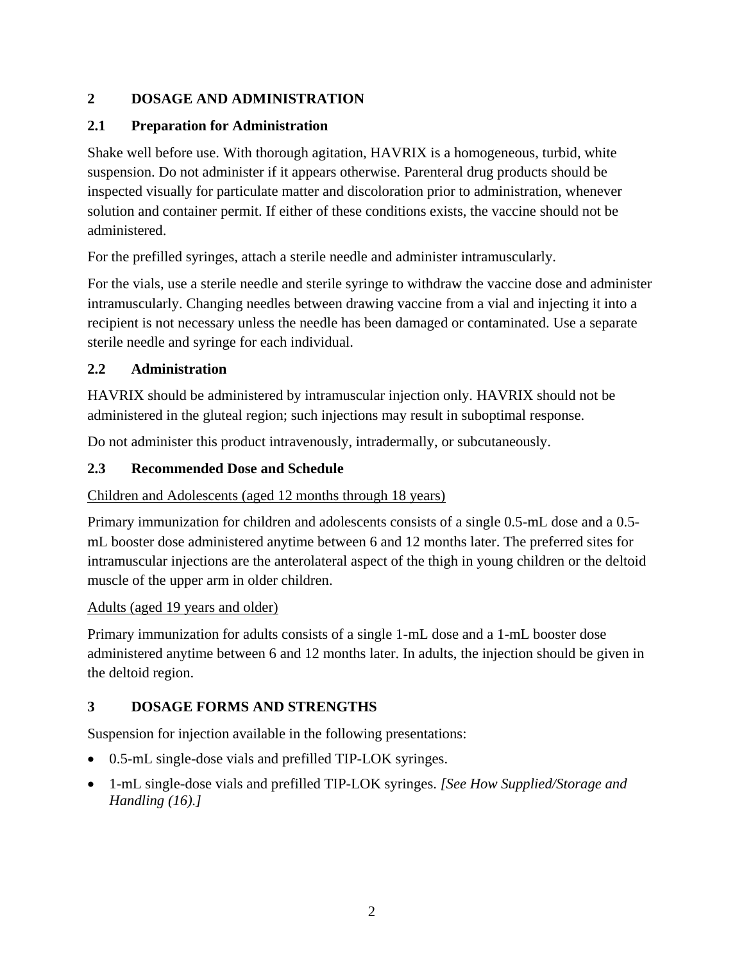## <span id="page-1-0"></span>**2 DOSAGE AND ADMINISTRATION**

## <span id="page-1-1"></span>**2.1 Preparation for Administration**

Shake well before use. With thorough agitation, HAVRIX is a homogeneous, turbid, white suspension. Do not administer if it appears otherwise. Parenteral drug products should be inspected visually for particulate matter and discoloration prior to administration, whenever solution and container permit. If either of these conditions exists, the vaccine should not be administered.

For the prefilled syringes, attach a sterile needle and administer intramuscularly.

For the vials, use a sterile needle and sterile syringe to withdraw the vaccine dose and administer intramuscularly. Changing needles between drawing vaccine from a vial and injecting it into a recipient is not necessary unless the needle has been damaged or contaminated. Use a separate sterile needle and syringe for each individual.

## <span id="page-1-2"></span>**2.2 Administration**

HAVRIX should be administered by intramuscular injection only. HAVRIX should not be administered in the gluteal region; such injections may result in suboptimal response.

Do not administer this product intravenously, intradermally, or subcutaneously.

# <span id="page-1-3"></span>**2.3 Recommended Dose and Schedule**

# Children and Adolescents (aged 12 months through 18 years)

Primary immunization for children and adolescents consists of a single 0.5-mL dose and a 0.5 mL booster dose administered anytime between 6 and 12 months later. The preferred sites for intramuscular injections are the anterolateral aspect of the thigh in young children or the deltoid muscle of the upper arm in older children.

## Adults (aged 19 years and older)

Primary immunization for adults consists of a single 1-mL dose and a 1-mL booster dose administered anytime between 6 and 12 months later. In adults, the injection should be given in the deltoid region.

# <span id="page-1-4"></span>**3 DOSAGE FORMS AND STRENGTHS**

Suspension for injection available in the following presentations:

- 0.5-mL single-dose vials and prefilled TIP-LOK syringes.
- 1-mL single-dose vials and prefilled TIP-LOK syringes. *[See How Supplied/Storage and Handling (16).]*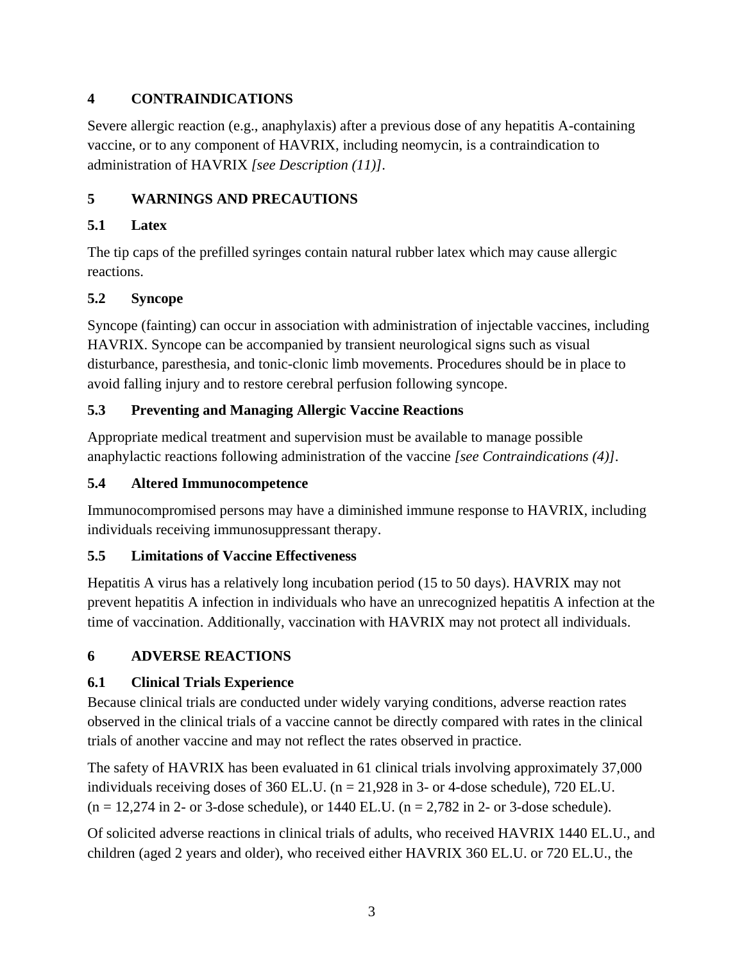# <span id="page-2-0"></span>**4 CONTRAINDICATIONS**

Severe allergic reaction (e.g., anaphylaxis) after a previous dose of any hepatitis A-containing vaccine, or to any component of HAVRIX, including neomycin, is a contraindication to administration of HAVRIX *[see Description (11)]*.

# <span id="page-2-1"></span>**5 WARNINGS AND PRECAUTIONS**

## <span id="page-2-2"></span>**5.1 Latex**

The tip caps of the prefilled syringes contain natural rubber latex which may cause allergic reactions.

## <span id="page-2-3"></span>**5.2 Syncope**

Syncope (fainting) can occur in association with administration of injectable vaccines, including HAVRIX. Syncope can be accompanied by transient neurological signs such as visual disturbance, paresthesia, and tonic-clonic limb movements. Procedures should be in place to avoid falling injury and to restore cerebral perfusion following syncope.

# <span id="page-2-4"></span>**5.3 Preventing and Managing Allergic Vaccine Reactions**

Appropriate medical treatment and supervision must be available to manage possible anaphylactic reactions following administration of the vaccine *[see Contraindications (4)]*.

## <span id="page-2-5"></span>**5.4 Altered Immunocompetence**

Immunocompromised persons may have a diminished immune response to HAVRIX, including individuals receiving immunosuppressant therapy.

# <span id="page-2-6"></span>**5.5 Limitations of Vaccine Effectiveness**

Hepatitis A virus has a relatively long incubation period (15 to 50 days). HAVRIX may not prevent hepatitis A infection in individuals who have an unrecognized hepatitis A infection at the time of vaccination. Additionally, vaccination with HAVRIX may not protect all individuals.

# <span id="page-2-7"></span>**6 ADVERSE REACTIONS**

# <span id="page-2-8"></span>**6.1 Clinical Trials Experience**

Because clinical trials are conducted under widely varying conditions, adverse reaction rates observed in the clinical trials of a vaccine cannot be directly compared with rates in the clinical trials of another vaccine and may not reflect the rates observed in practice.

The safety of HAVRIX has been evaluated in 61 clinical trials involving approximately 37,000 individuals receiving doses of 360 EL.U. ( $n = 21,928$  in 3- or 4-dose schedule), 720 EL.U.  $(n = 12,274 \text{ in } 2 \text{- or } 3 \text{-dose schedule})$ , or 1440 EL.U.  $(n = 2,782 \text{ in } 2 \text{- or } 3 \text{-dose schedule})$ .

Of solicited adverse reactions in clinical trials of adults, who received HAVRIX 1440 EL.U., and children (aged 2 years and older), who received either HAVRIX 360 EL.U. or 720 EL.U., the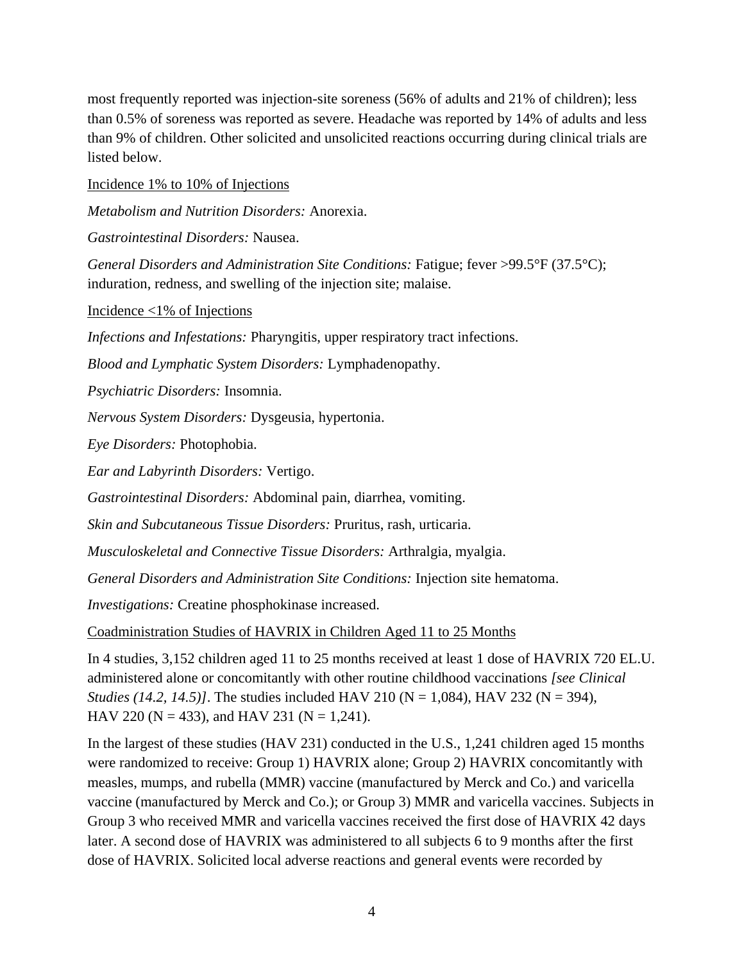most frequently reported was injection-site soreness (56% of adults and 21% of children); less than 0.5% of soreness was reported as severe. Headache was reported by 14% of adults and less than 9% of children. Other solicited and unsolicited reactions occurring during clinical trials are listed below.

Incidence 1% to 10% of Injections

*Metabolism and Nutrition Disorders:* Anorexia.

*Gastrointestinal Disorders:* Nausea.

*General Disorders and Administration Site Conditions:* Fatigue; fever >99.5°F (37.5°C); induration, redness, and swelling of the injection site; malaise.

Incidence <1% of Injections

*Infections and Infestations:* Pharyngitis, upper respiratory tract infections.

*Blood and Lymphatic System Disorders:* Lymphadenopathy.

*Psychiatric Disorders:* Insomnia.

*Nervous System Disorders:* Dysgeusia, hypertonia.

*Eye Disorders:* Photophobia.

*Ear and Labyrinth Disorders:* Vertigo.

*Gastrointestinal Disorders:* Abdominal pain, diarrhea, vomiting.

*Skin and Subcutaneous Tissue Disorders:* Pruritus, rash, urticaria.

*Musculoskeletal and Connective Tissue Disorders:* Arthralgia, myalgia.

*General Disorders and Administration Site Conditions:* Injection site hematoma.

*Investigations:* Creatine phosphokinase increased.

Coadministration Studies of HAVRIX in Children Aged 11 to 25 Months

In 4 studies, 3,152 children aged 11 to 25 months received at least 1 dose of HAVRIX 720 EL.U. administered alone or concomitantly with other routine childhood vaccinations *[see Clinical Studies (14.2, 14.5)]*. The studies included HAV 210 (N = 1,084), HAV 232 (N = 394), HAV 220 (N = 433), and HAV 231 (N = 1,241).

In the largest of these studies (HAV 231) conducted in the U.S., 1,241 children aged 15 months were randomized to receive: Group 1) HAVRIX alone; Group 2) HAVRIX concomitantly with measles, mumps, and rubella (MMR) vaccine (manufactured by Merck and Co.) and varicella vaccine (manufactured by Merck and Co.); or Group 3) MMR and varicella vaccines. Subjects in Group 3 who received MMR and varicella vaccines received the first dose of HAVRIX 42 days later. A second dose of HAVRIX was administered to all subjects 6 to 9 months after the first dose of HAVRIX. Solicited local adverse reactions and general events were recorded by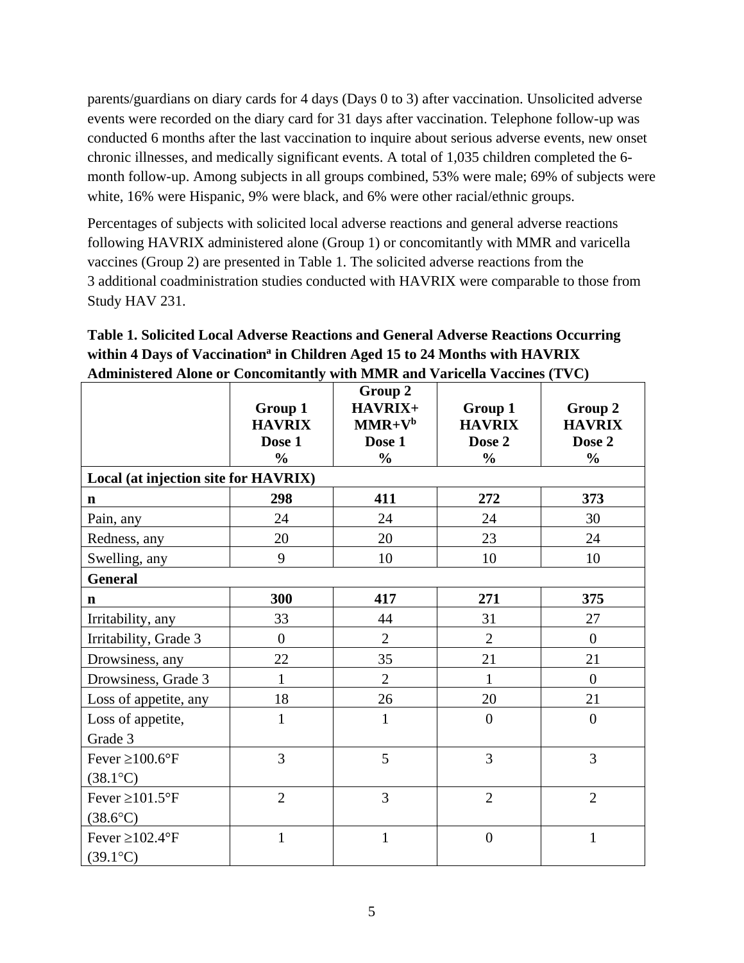parents/guardians on diary cards for 4 days (Days 0 to 3) after vaccination. Unsolicited adverse events were recorded on the diary card for 31 days after vaccination. Telephone follow-up was conducted 6 months after the last vaccination to inquire about serious adverse events, new onset chronic illnesses, and medically significant events. A total of 1,035 children completed the 6 month follow-up. Among subjects in all groups combined, 53% were male; 69% of subjects were white, 16% were Hispanic, 9% were black, and 6% were other racial/ethnic groups.

Percentages of subjects with solicited local adverse reactions and general adverse reactions following HAVRIX administered alone (Group 1) or concomitantly with MMR and varicella vaccines (Group 2) are presented in Table 1. The solicited adverse reactions from the 3 additional coadministration studies conducted with HAVRIX were comparable to those from Study HAV 231.

| $A$ ummistel eu $A$ ione of Conconntantly with ivilvin and valiteira vaccines (1 yC) |                                                     |                                                           |                                                     |                                                     |  |  |  |  |  |
|--------------------------------------------------------------------------------------|-----------------------------------------------------|-----------------------------------------------------------|-----------------------------------------------------|-----------------------------------------------------|--|--|--|--|--|
|                                                                                      | Group 1<br><b>HAVRIX</b><br>Dose 1<br>$\frac{0}{0}$ | Group 2<br>HAVRIX+<br>$MMR+Vb$<br>Dose 1<br>$\frac{1}{2}$ | Group 1<br><b>HAVRIX</b><br>Dose 2<br>$\frac{0}{0}$ | Group 2<br><b>HAVRIX</b><br>Dose 2<br>$\frac{0}{0}$ |  |  |  |  |  |
| Local (at injection site for HAVRIX)                                                 |                                                     |                                                           |                                                     |                                                     |  |  |  |  |  |
| $\mathbf n$                                                                          | 298                                                 | 411                                                       | 272                                                 | 373                                                 |  |  |  |  |  |
| Pain, any                                                                            | 24                                                  | 24                                                        | 24                                                  | 30                                                  |  |  |  |  |  |
| Redness, any                                                                         | 20                                                  | 20                                                        | 23                                                  | 24                                                  |  |  |  |  |  |
| Swelling, any                                                                        | 9                                                   | 10                                                        | 10                                                  | 10                                                  |  |  |  |  |  |
| <b>General</b>                                                                       |                                                     |                                                           |                                                     |                                                     |  |  |  |  |  |
| $\mathbf n$                                                                          | 300                                                 | 417                                                       | 271                                                 | 375                                                 |  |  |  |  |  |
| Irritability, any                                                                    | 33                                                  | 44                                                        | 31                                                  | 27                                                  |  |  |  |  |  |
| Irritability, Grade 3                                                                | $\theta$                                            | $\overline{2}$                                            | $\overline{2}$                                      | $\overline{0}$                                      |  |  |  |  |  |
| Drowsiness, any                                                                      | 22                                                  | 35                                                        | 21                                                  | 21                                                  |  |  |  |  |  |
| Drowsiness, Grade 3                                                                  | 1                                                   | $\overline{2}$                                            | $\mathbf{1}$                                        | $\overline{0}$                                      |  |  |  |  |  |
| Loss of appetite, any                                                                | 18                                                  | 26                                                        | 20                                                  | 21                                                  |  |  |  |  |  |
| Loss of appetite,                                                                    | $\mathbf{1}$                                        | $\mathbf{1}$                                              | $\overline{0}$                                      | $\overline{0}$                                      |  |  |  |  |  |
| Grade 3                                                                              |                                                     |                                                           |                                                     |                                                     |  |  |  |  |  |
| Fever $\geq 100.6$ °F                                                                | 3                                                   | 5                                                         | 3                                                   | $\overline{3}$                                      |  |  |  |  |  |
| $(38.1^{\circ}C)$                                                                    |                                                     |                                                           |                                                     |                                                     |  |  |  |  |  |
| Fever $\geq 101.5$ °F                                                                | $\overline{2}$                                      | $\overline{3}$                                            | $\overline{2}$                                      | $\overline{2}$                                      |  |  |  |  |  |
| $(38.6^{\circ}C)$                                                                    |                                                     |                                                           |                                                     |                                                     |  |  |  |  |  |
| Fever $\geq 102.4$ °F                                                                | $\mathbf{1}$                                        | $\mathbf{1}$                                              | $\overline{0}$                                      | $\mathbf{1}$                                        |  |  |  |  |  |
| $(39.1^{\circ}C)$                                                                    |                                                     |                                                           |                                                     |                                                     |  |  |  |  |  |

**Table 1. Solicited Local Adverse Reactions and General Adverse Reactions Occurring within 4 Days of Vaccination<sup>a</sup> in Children Aged 15 to 24 Months with HAVRIX Administered Alone or Concomitantly with MMR and Varicella Vaccines (TVC)**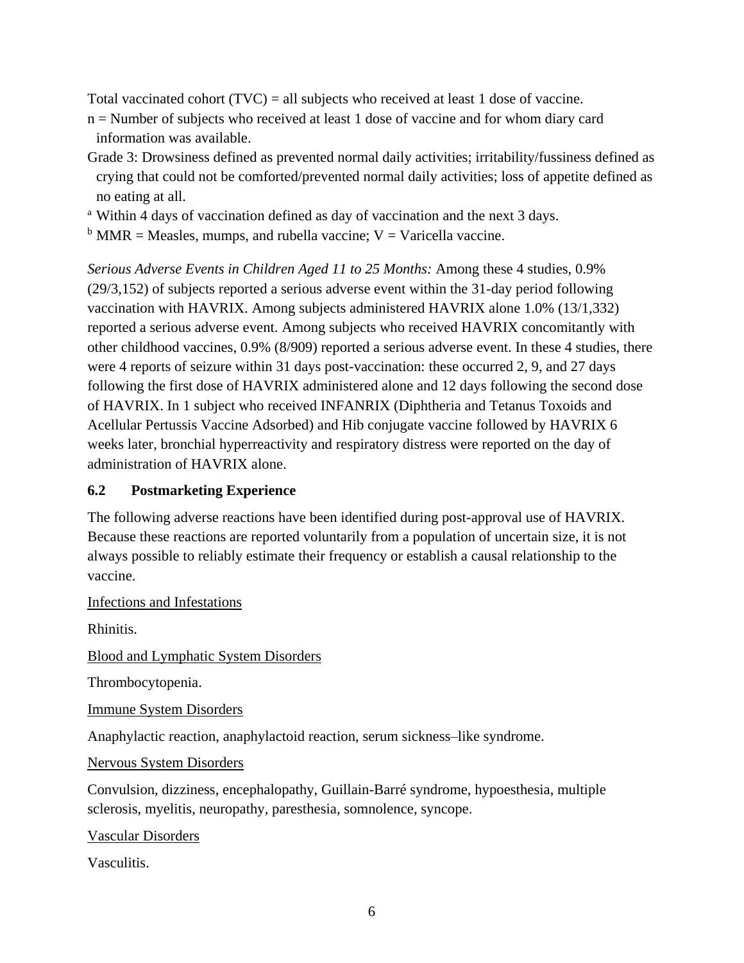Total vaccinated cohort  $(TVC) = all$  subjects who received at least 1 dose of vaccine.

- n = Number of subjects who received at least 1 dose of vaccine and for whom diary card information was available.
- Grade 3: Drowsiness defined as prevented normal daily activities; irritability/fussiness defined as crying that could not be comforted/prevented normal daily activities; loss of appetite defined as no eating at all.
- <sup>a</sup> Within 4 days of vaccination defined as day of vaccination and the next 3 days.
- $<sup>b</sup>$  MMR = Measles, mumps, and rubella vaccine; V = Varicella vaccine.</sup>

*Serious Adverse Events in Children Aged 11 to 25 Months:* Among these 4 studies, 0.9% (29/3,152) of subjects reported a serious adverse event within the 31-day period following vaccination with HAVRIX. Among subjects administered HAVRIX alone 1.0% (13/1,332) reported a serious adverse event. Among subjects who received HAVRIX concomitantly with other childhood vaccines, 0.9% (8/909) reported a serious adverse event. In these 4 studies, there were 4 reports of seizure within 31 days post-vaccination: these occurred 2, 9, and 27 days following the first dose of HAVRIX administered alone and 12 days following the second dose of HAVRIX. In 1 subject who received INFANRIX (Diphtheria and Tetanus Toxoids and Acellular Pertussis Vaccine Adsorbed) and Hib conjugate vaccine followed by HAVRIX 6 weeks later, bronchial hyperreactivity and respiratory distress were reported on the day of administration of HAVRIX alone.

### <span id="page-5-0"></span>**6.2 Postmarketing Experience**

The following adverse reactions have been identified during post-approval use of HAVRIX. Because these reactions are reported voluntarily from a population of uncertain size, it is not always possible to reliably estimate their frequency or establish a causal relationship to the vaccine.

Infections and Infestations

Rhinitis.

Blood and Lymphatic System Disorders

Thrombocytopenia.

Immune System Disorders

Anaphylactic reaction, anaphylactoid reaction, serum sickness–like syndrome.

Nervous System Disorders

Convulsion, dizziness, encephalopathy, Guillain-Barré syndrome, hypoesthesia, multiple sclerosis, myelitis, neuropathy, paresthesia, somnolence, syncope.

Vascular Disorders

Vasculitis.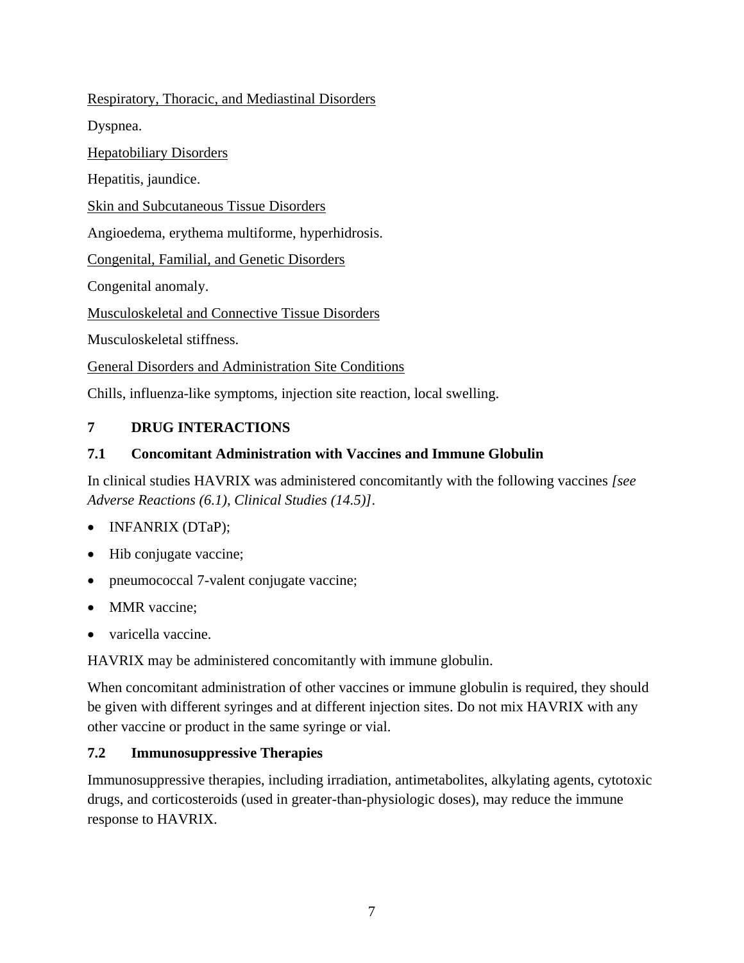### Respiratory, Thoracic, and Mediastinal Disorders

Dyspnea.

**Hepatobiliary Disorders** 

Hepatitis, jaundice.

Skin and Subcutaneous Tissue Disorders

Angioedema, erythema multiforme, hyperhidrosis.

Congenital, Familial, and Genetic Disorders

Congenital anomaly.

Musculoskeletal and Connective Tissue Disorders

Musculoskeletal stiffness.

General Disorders and Administration Site Conditions

<span id="page-6-0"></span>Chills, influenza-like symptoms, injection site reaction, local swelling.

## **7 DRUG INTERACTIONS**

## <span id="page-6-1"></span>**7.1 Concomitant Administration with Vaccines and Immune Globulin**

In clinical studies HAVRIX was administered concomitantly with the following vaccines *[see Adverse Reactions (6.1), Clinical Studies (14.5)]*.

- INFANRIX (DTaP);
- Hib conjugate vaccine;
- pneumococcal 7-valent conjugate vaccine;
- MMR vaccine:
- varicella vaccine.

HAVRIX may be administered concomitantly with immune globulin.

When concomitant administration of other vaccines or immune globulin is required, they should be given with different syringes and at different injection sites. Do not mix HAVRIX with any other vaccine or product in the same syringe or vial.

### <span id="page-6-2"></span>**7.2 Immunosuppressive Therapies**

Immunosuppressive therapies, including irradiation, antimetabolites, alkylating agents, cytotoxic drugs, and corticosteroids (used in greater-than-physiologic doses), may reduce the immune response to HAVRIX.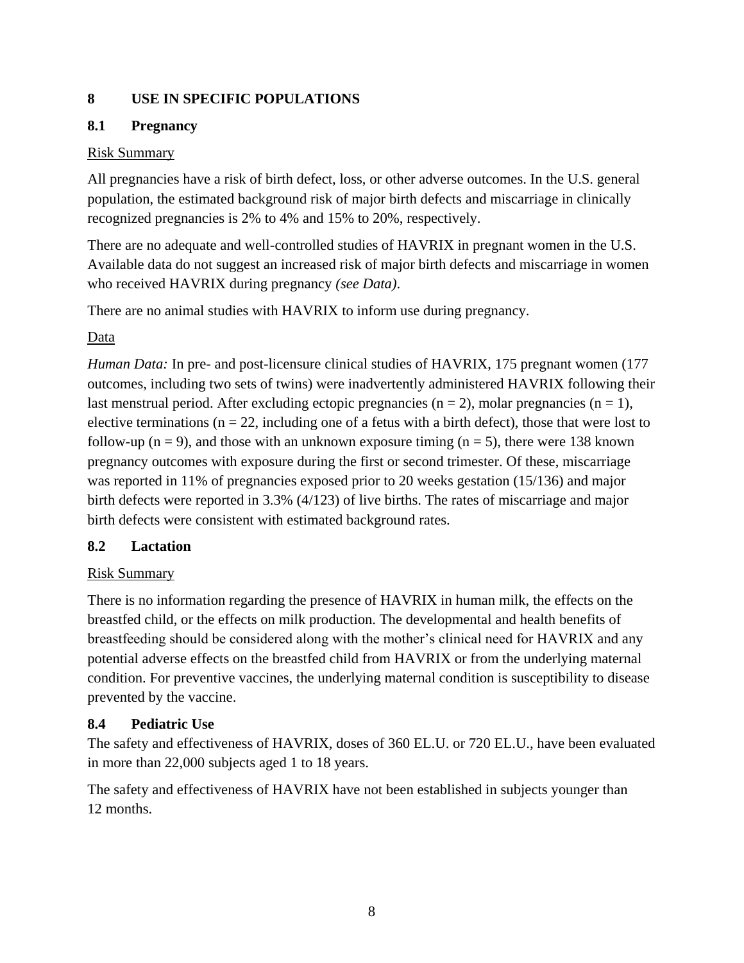## <span id="page-7-0"></span>**8 USE IN SPECIFIC POPULATIONS**

## <span id="page-7-1"></span>**8.1 Pregnancy**

## Risk Summary

All pregnancies have a risk of birth defect, loss, or other adverse outcomes. In the U.S. general population, the estimated background risk of major birth defects and miscarriage in clinically recognized pregnancies is 2% to 4% and 15% to 20%, respectively.

There are no adequate and well-controlled studies of HAVRIX in pregnant women in the U.S. Available data do not suggest an increased risk of major birth defects and miscarriage in women who received HAVRIX during pregnancy *(see Data)*.

There are no animal studies with HAVRIX to inform use during pregnancy.

## Data

*Human Data:* In pre- and post-licensure clinical studies of HAVRIX, 175 pregnant women (177) outcomes, including two sets of twins) were inadvertently administered HAVRIX following their last menstrual period. After excluding ectopic pregnancies ( $n = 2$ ), molar pregnancies ( $n = 1$ ), elective terminations ( $n = 22$ , including one of a fetus with a birth defect), those that were lost to follow-up ( $n = 9$ ), and those with an unknown exposure timing ( $n = 5$ ), there were 138 known pregnancy outcomes with exposure during the first or second trimester. Of these, miscarriage was reported in 11% of pregnancies exposed prior to 20 weeks gestation (15/136) and major birth defects were reported in 3.3% (4/123) of live births. The rates of miscarriage and major birth defects were consistent with estimated background rates.

## <span id="page-7-2"></span>**8.2 Lactation**

## Risk Summary

There is no information regarding the presence of HAVRIX in human milk, the effects on the breastfed child, or the effects on milk production. The developmental and health benefits of breastfeeding should be considered along with the mother's clinical need for HAVRIX and any potential adverse effects on the breastfed child from HAVRIX or from the underlying maternal condition. For preventive vaccines, the underlying maternal condition is susceptibility to disease prevented by the vaccine.

## <span id="page-7-3"></span>**8.4 Pediatric Use**

The safety and effectiveness of HAVRIX, doses of 360 EL.U. or 720 EL.U., have been evaluated in more than 22,000 subjects aged 1 to 18 years.

The safety and effectiveness of HAVRIX have not been established in subjects younger than 12 months.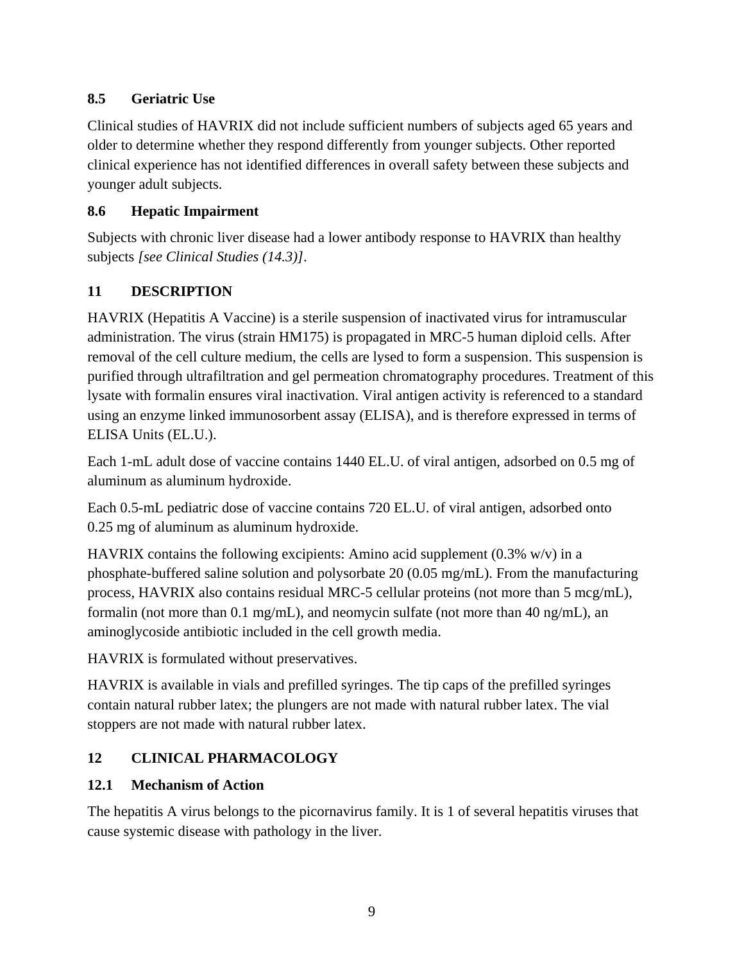## <span id="page-8-0"></span>**8.5 Geriatric Use**

Clinical studies of HAVRIX did not include sufficient numbers of subjects aged 65 years and older to determine whether they respond differently from younger subjects. Other reported clinical experience has not identified differences in overall safety between these subjects and younger adult subjects.

## <span id="page-8-1"></span>**8.6 Hepatic Impairment**

Subjects with chronic liver disease had a lower antibody response to HAVRIX than healthy subjects *[see Clinical Studies (14.3)]*.

# <span id="page-8-2"></span>**11 DESCRIPTION**

HAVRIX (Hepatitis A Vaccine) is a sterile suspension of inactivated virus for intramuscular administration. The virus (strain HM175) is propagated in MRC-5 human diploid cells. After removal of the cell culture medium, the cells are lysed to form a suspension. This suspension is purified through ultrafiltration and gel permeation chromatography procedures. Treatment of this lysate with formalin ensures viral inactivation. Viral antigen activity is referenced to a standard using an enzyme linked immunosorbent assay (ELISA), and is therefore expressed in terms of ELISA Units (EL.U.).

Each 1-mL adult dose of vaccine contains 1440 EL.U. of viral antigen, adsorbed on 0.5 mg of aluminum as aluminum hydroxide.

Each 0.5-mL pediatric dose of vaccine contains 720 EL.U. of viral antigen, adsorbed onto 0.25 mg of aluminum as aluminum hydroxide.

HAVRIX contains the following excipients: Amino acid supplement  $(0.3\%$  w/v) in a phosphate-buffered saline solution and polysorbate 20 (0.05 mg/mL). From the manufacturing process, HAVRIX also contains residual MRC-5 cellular proteins (not more than 5 mcg/mL), formalin (not more than 0.1 mg/mL), and neomycin sulfate (not more than 40 ng/mL), an aminoglycoside antibiotic included in the cell growth media.

HAVRIX is formulated without preservatives.

HAVRIX is available in vials and prefilled syringes. The tip caps of the prefilled syringes contain natural rubber latex; the plungers are not made with natural rubber latex. The vial stoppers are not made with natural rubber latex.

# <span id="page-8-3"></span>**12 CLINICAL PHARMACOLOGY**

# <span id="page-8-4"></span>**12.1 Mechanism of Action**

The hepatitis A virus belongs to the picornavirus family. It is 1 of several hepatitis viruses that cause systemic disease with pathology in the liver.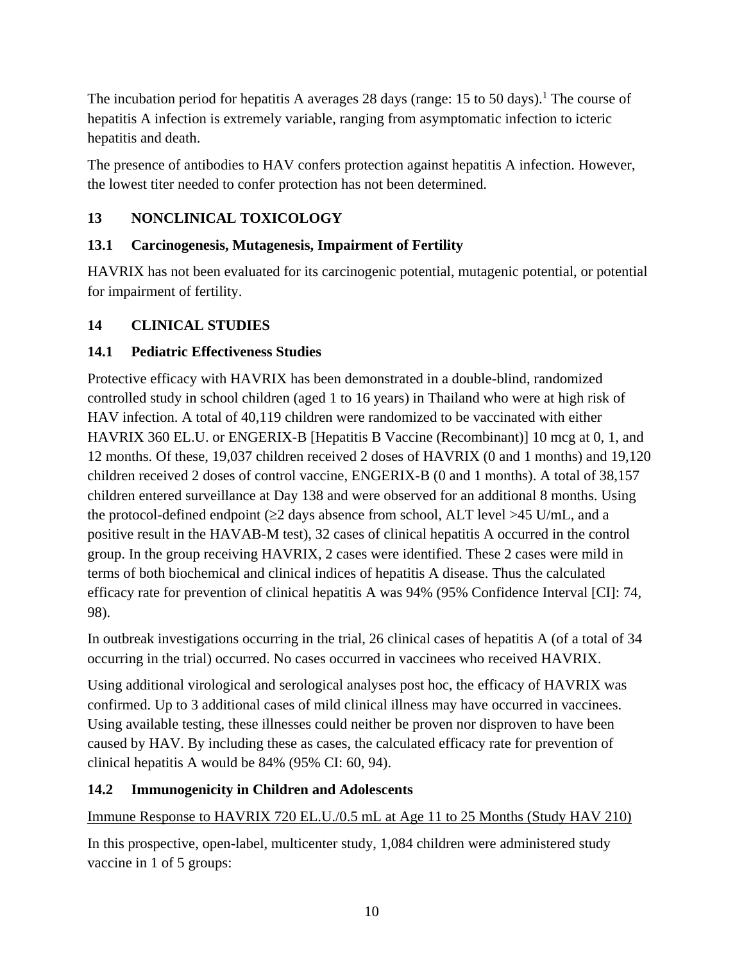The incubation period for hepatitis A averages 28 days (range:  $15$  to  $50$  days).<sup>1</sup> The course of hepatitis A infection is extremely variable, ranging from asymptomatic infection to icteric hepatitis and death.

The presence of antibodies to HAV confers protection against hepatitis A infection. However, the lowest titer needed to confer protection has not been determined.

# <span id="page-9-0"></span>**13 NONCLINICAL TOXICOLOGY**

## <span id="page-9-1"></span>**13.1 Carcinogenesis, Mutagenesis, Impairment of Fertility**

HAVRIX has not been evaluated for its carcinogenic potential, mutagenic potential, or potential for impairment of fertility.

## <span id="page-9-2"></span>**14 CLINICAL STUDIES**

## <span id="page-9-3"></span>**14.1 Pediatric Effectiveness Studies**

Protective efficacy with HAVRIX has been demonstrated in a double-blind, randomized controlled study in school children (aged 1 to 16 years) in Thailand who were at high risk of HAV infection. A total of 40,119 children were randomized to be vaccinated with either HAVRIX 360 EL.U. or ENGERIX-B [Hepatitis B Vaccine (Recombinant)] 10 mcg at 0, 1, and 12 months. Of these, 19,037 children received 2 doses of HAVRIX (0 and 1 months) and 19,120 children received 2 doses of control vaccine, ENGERIX-B (0 and 1 months). A total of 38,157 children entered surveillance at Day 138 and were observed for an additional 8 months. Using the protocol-defined endpoint ( $\geq$ 2 days absence from school, ALT level  $>$ 45 U/mL, and a positive result in the HAVAB-M test), 32 cases of clinical hepatitis A occurred in the control group. In the group receiving HAVRIX, 2 cases were identified. These 2 cases were mild in terms of both biochemical and clinical indices of hepatitis A disease. Thus the calculated efficacy rate for prevention of clinical hepatitis A was 94% (95% Confidence Interval [CI]: 74, 98).

In outbreak investigations occurring in the trial, 26 clinical cases of hepatitis A (of a total of 34 occurring in the trial) occurred. No cases occurred in vaccinees who received HAVRIX.

Using additional virological and serological analyses post hoc, the efficacy of HAVRIX was confirmed. Up to 3 additional cases of mild clinical illness may have occurred in vaccinees. Using available testing, these illnesses could neither be proven nor disproven to have been caused by HAV. By including these as cases, the calculated efficacy rate for prevention of clinical hepatitis A would be 84% (95% CI: 60, 94).

## <span id="page-9-4"></span>**14.2 Immunogenicity in Children and Adolescents**

## Immune Response to HAVRIX 720 EL.U./0.5 mL at Age 11 to 25 Months (Study HAV 210)

In this prospective, open-label, multicenter study, 1,084 children were administered study vaccine in 1 of 5 groups: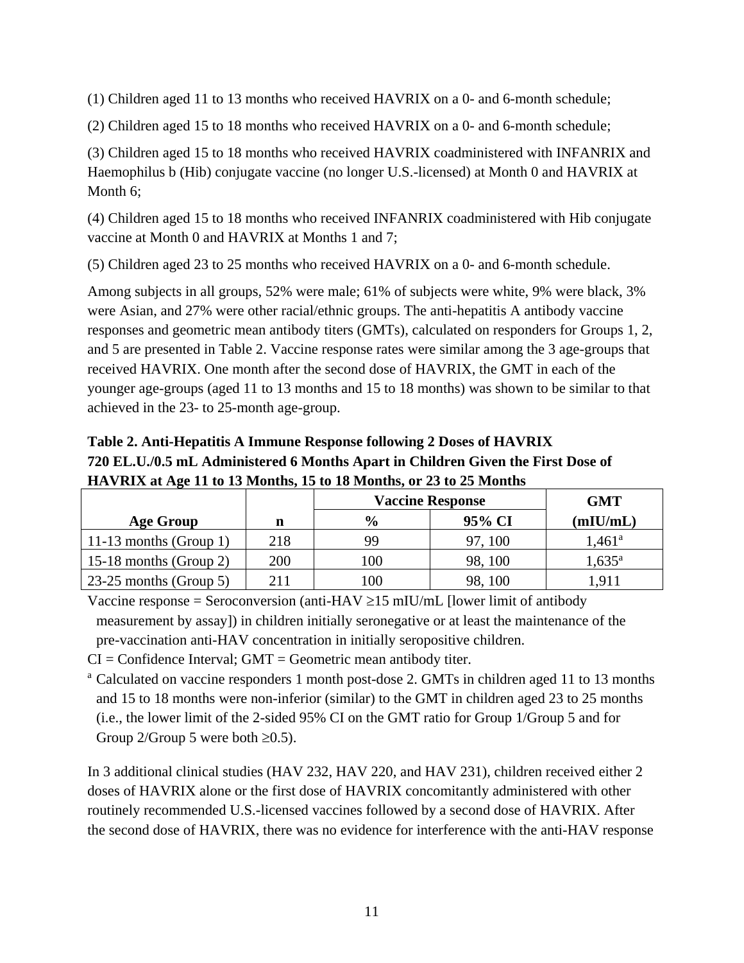(1) Children aged 11 to 13 months who received HAVRIX on a 0- and 6-month schedule;

(2) Children aged 15 to 18 months who received HAVRIX on a 0- and 6-month schedule;

(3) Children aged 15 to 18 months who received HAVRIX coadministered with INFANRIX and Haemophilus b (Hib) conjugate vaccine (no longer U.S.-licensed) at Month 0 and HAVRIX at Month 6;

(4) Children aged 15 to 18 months who received INFANRIX coadministered with Hib conjugate vaccine at Month 0 and HAVRIX at Months 1 and 7;

(5) Children aged 23 to 25 months who received HAVRIX on a 0- and 6-month schedule.

Among subjects in all groups, 52% were male; 61% of subjects were white, 9% were black, 3% were Asian, and 27% were other racial/ethnic groups. The anti-hepatitis A antibody vaccine responses and geometric mean antibody titers (GMTs), calculated on responders for Groups 1, 2, and 5 are presented in Table 2. Vaccine response rates were similar among the 3 age-groups that received HAVRIX. One month after the second dose of HAVRIX, the GMT in each of the younger age-groups (aged 11 to 13 months and 15 to 18 months) was shown to be similar to that achieved in the 23- to 25-month age-group.

**Table 2. Anti-Hepatitis A Immune Response following 2 Doses of HAVRIX 720 EL.U./0.5 mL Administered 6 Months Apart in Children Given the First Dose of HAVRIX at Age 11 to 13 Months, 15 to 18 Months, or 23 to 25 Months**

|                                |     | <b>Vaccine Response</b> | <b>GMT</b> |                 |
|--------------------------------|-----|-------------------------|------------|-----------------|
| <b>Age Group</b>               |     | $\frac{6}{6}$           | 95% CI     | (mIU/mL)        |
| 11-13 months (Group 1)         | 218 | 99                      | 97, 100    | $1.461^{\rm a}$ |
| 15-18 months (Group 2)         | 200 | 100                     | 98, 100    | $1,635^{\rm a}$ |
| $\vert$ 23-25 months (Group 5) | 211 | $100\,$                 | 98, 100    |                 |

Vaccine response = Seroconversion (anti-HAV  $\geq$ 15 mIU/mL [lower limit of antibody measurement by assay]) in children initially seronegative or at least the maintenance of the pre-vaccination anti-HAV concentration in initially seropositive children.

 $CI =$  Confidence Interval;  $GMT =$  Geometric mean antibody titer.

<sup>a</sup> Calculated on vaccine responders 1 month post-dose 2. GMTs in children aged 11 to 13 months and 15 to 18 months were non-inferior (similar) to the GMT in children aged 23 to 25 months (i.e., the lower limit of the 2-sided 95% CI on the GMT ratio for Group 1/Group 5 and for Group 2/Group 5 were both  $\geq 0.5$ ).

In 3 additional clinical studies (HAV 232, HAV 220, and HAV 231), children received either 2 doses of HAVRIX alone or the first dose of HAVRIX concomitantly administered with other routinely recommended U.S.-licensed vaccines followed by a second dose of HAVRIX. After the second dose of HAVRIX, there was no evidence for interference with the anti-HAV response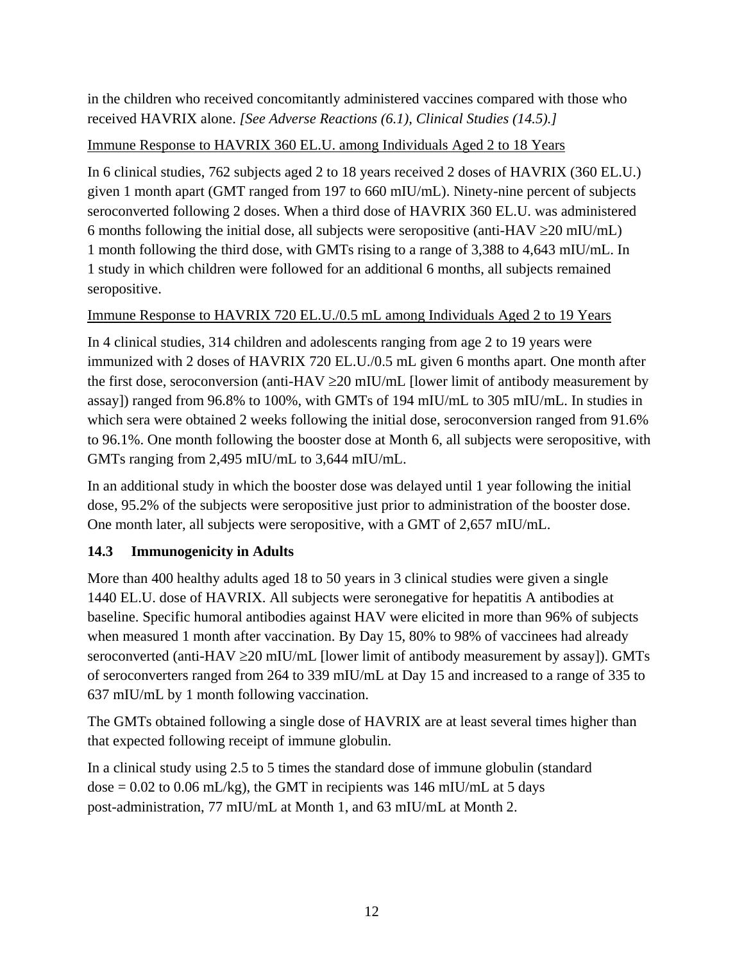in the children who received concomitantly administered vaccines compared with those who received HAVRIX alone. *[See Adverse Reactions (6.1), Clinical Studies (14.5).]*

### Immune Response to HAVRIX 360 EL.U. among Individuals Aged 2 to 18 Years

In 6 clinical studies, 762 subjects aged 2 to 18 years received 2 doses of HAVRIX (360 EL.U.) given 1 month apart (GMT ranged from 197 to 660 mIU/mL). Ninety-nine percent of subjects seroconverted following 2 doses. When a third dose of HAVRIX 360 EL.U. was administered 6 months following the initial dose, all subjects were seropositive (anti-HAV  $\geq$  20 mIU/mL) 1 month following the third dose, with GMTs rising to a range of 3,388 to 4,643 mIU/mL. In 1 study in which children were followed for an additional 6 months, all subjects remained seropositive.

Immune Response to HAVRIX 720 EL.U./0.5 mL among Individuals Aged 2 to 19 Years

In 4 clinical studies, 314 children and adolescents ranging from age 2 to 19 years were immunized with 2 doses of HAVRIX 720 EL.U./0.5 mL given 6 months apart. One month after the first dose, seroconversion (anti-HAV  $\geq$  20 mIU/mL [lower limit of antibody measurement by assay]) ranged from 96.8% to 100%, with GMTs of 194 mIU/mL to 305 mIU/mL. In studies in which sera were obtained 2 weeks following the initial dose, seroconversion ranged from 91.6% to 96.1%. One month following the booster dose at Month 6, all subjects were seropositive, with GMTs ranging from 2,495 mIU/mL to 3,644 mIU/mL.

In an additional study in which the booster dose was delayed until 1 year following the initial dose, 95.2% of the subjects were seropositive just prior to administration of the booster dose. One month later, all subjects were seropositive, with a GMT of 2,657 mIU/mL.

## <span id="page-11-0"></span>**14.3 Immunogenicity in Adults**

More than 400 healthy adults aged 18 to 50 years in 3 clinical studies were given a single 1440 EL.U. dose of HAVRIX. All subjects were seronegative for hepatitis A antibodies at baseline. Specific humoral antibodies against HAV were elicited in more than 96% of subjects when measured 1 month after vaccination. By Day 15, 80% to 98% of vaccinees had already seroconverted (anti-HAV  $\geq$  20 mIU/mL [lower limit of antibody measurement by assay]). GMTs of seroconverters ranged from 264 to 339 mIU/mL at Day 15 and increased to a range of 335 to 637 mIU/mL by 1 month following vaccination.

The GMTs obtained following a single dose of HAVRIX are at least several times higher than that expected following receipt of immune globulin.

In a clinical study using 2.5 to 5 times the standard dose of immune globulin (standard  $dose = 0.02$  to 0.06 mL/kg), the GMT in recipients was 146 mIU/mL at 5 days post-administration, 77 mIU/mL at Month 1, and 63 mIU/mL at Month 2.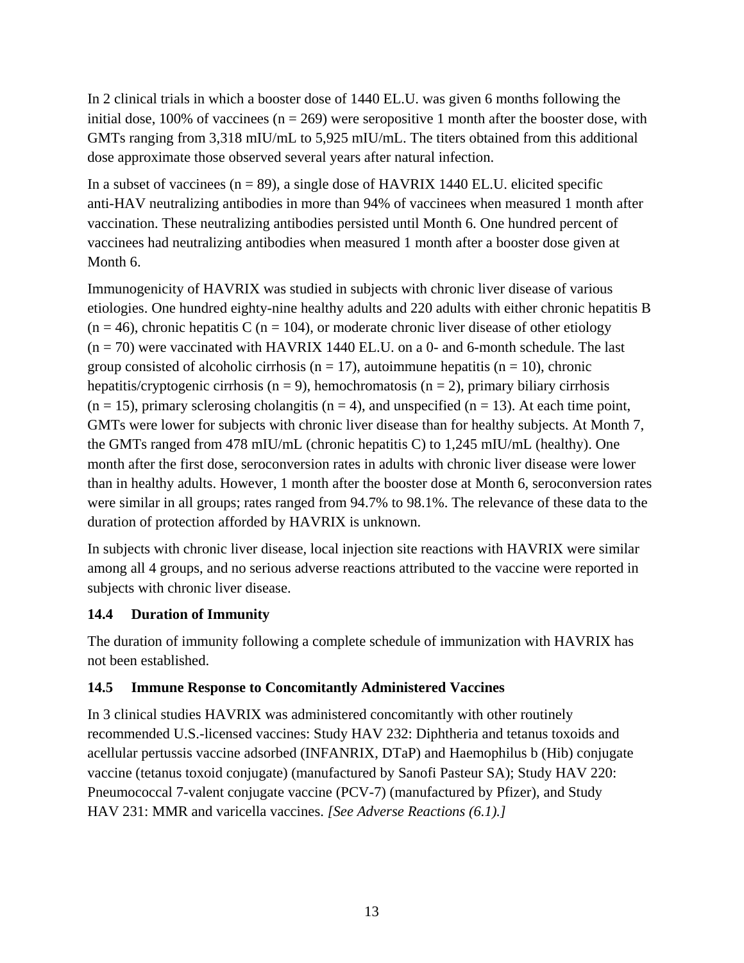In 2 clinical trials in which a booster dose of 1440 EL.U. was given 6 months following the initial dose, 100% of vaccinees  $(n = 269)$  were seropositive 1 month after the booster dose, with GMTs ranging from 3,318 mIU/mL to 5,925 mIU/mL. The titers obtained from this additional dose approximate those observed several years after natural infection.

In a subset of vaccinees  $(n = 89)$ , a single dose of HAVRIX 1440 EL.U. elicited specific anti-HAV neutralizing antibodies in more than 94% of vaccinees when measured 1 month after vaccination. These neutralizing antibodies persisted until Month 6. One hundred percent of vaccinees had neutralizing antibodies when measured 1 month after a booster dose given at Month 6.

Immunogenicity of HAVRIX was studied in subjects with chronic liver disease of various etiologies. One hundred eighty-nine healthy adults and 220 adults with either chronic hepatitis B  $(n = 46)$ , chronic hepatitis C  $(n = 104)$ , or moderate chronic liver disease of other etiology  $(n = 70)$  were vaccinated with HAVRIX 1440 EL.U. on a 0- and 6-month schedule. The last group consisted of alcoholic cirrhosis ( $n = 17$ ), autoimmune hepatitis ( $n = 10$ ), chronic hepatitis/cryptogenic cirrhosis (n = 9), hemochromatosis (n = 2), primary biliary cirrhosis  $(n = 15)$ , primary sclerosing cholangitis  $(n = 4)$ , and unspecified  $(n = 13)$ . At each time point, GMTs were lower for subjects with chronic liver disease than for healthy subjects. At Month 7, the GMTs ranged from 478 mIU/mL (chronic hepatitis C) to 1,245 mIU/mL (healthy). One month after the first dose, seroconversion rates in adults with chronic liver disease were lower than in healthy adults. However, 1 month after the booster dose at Month 6, seroconversion rates were similar in all groups; rates ranged from 94.7% to 98.1%. The relevance of these data to the duration of protection afforded by HAVRIX is unknown.

In subjects with chronic liver disease, local injection site reactions with HAVRIX were similar among all 4 groups, and no serious adverse reactions attributed to the vaccine were reported in subjects with chronic liver disease.

### <span id="page-12-0"></span>**14.4 Duration of Immunity**

The duration of immunity following a complete schedule of immunization with HAVRIX has not been established.

## <span id="page-12-1"></span>**14.5 Immune Response to Concomitantly Administered Vaccines**

In 3 clinical studies HAVRIX was administered concomitantly with other routinely recommended U.S.-licensed vaccines: Study HAV 232: Diphtheria and tetanus toxoids and acellular pertussis vaccine adsorbed (INFANRIX, DTaP) and Haemophilus b (Hib) conjugate vaccine (tetanus toxoid conjugate) (manufactured by Sanofi Pasteur SA); Study HAV 220: Pneumococcal 7-valent conjugate vaccine (PCV-7) (manufactured by Pfizer), and Study HAV 231: MMR and varicella vaccines. *[See Adverse Reactions (6.1).]*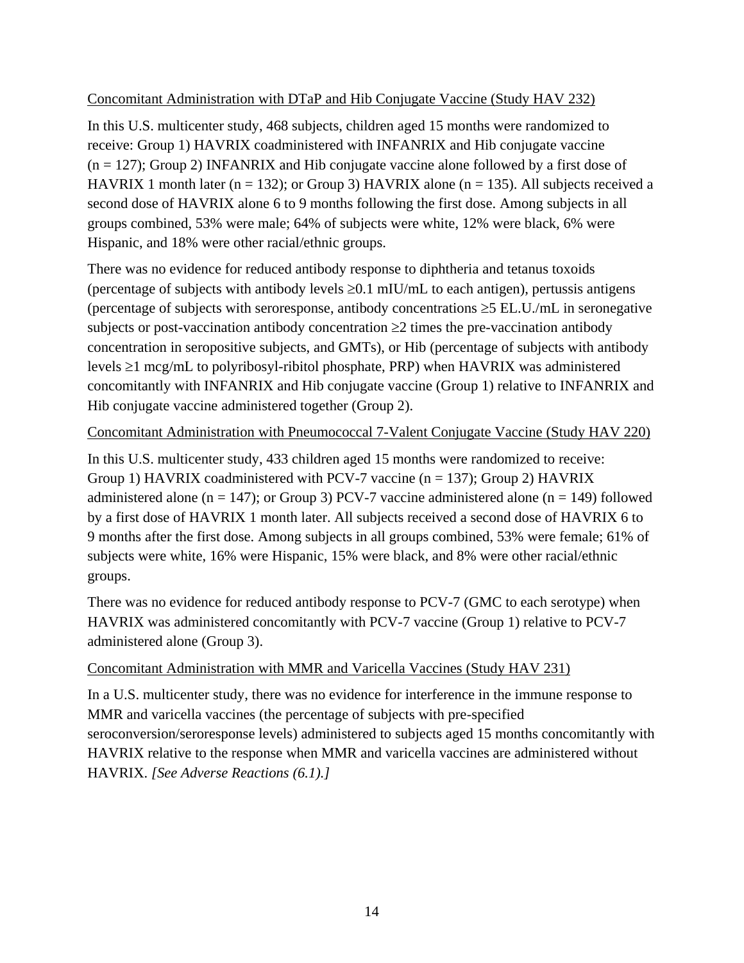### Concomitant Administration with DTaP and Hib Conjugate Vaccine (Study HAV 232)

In this U.S. multicenter study, 468 subjects, children aged 15 months were randomized to receive: Group 1) HAVRIX coadministered with INFANRIX and Hib conjugate vaccine  $(n = 127)$ ; Group 2) INFANRIX and Hib conjugate vaccine alone followed by a first dose of HAVRIX 1 month later ( $n = 132$ ); or Group 3) HAVRIX alone ( $n = 135$ ). All subjects received a second dose of HAVRIX alone 6 to 9 months following the first dose. Among subjects in all groups combined, 53% were male; 64% of subjects were white, 12% were black, 6% were Hispanic, and 18% were other racial/ethnic groups.

There was no evidence for reduced antibody response to diphtheria and tetanus toxoids (percentage of subjects with antibody levels  $\geq 0.1$  mIU/mL to each antigen), pertussis antigens (percentage of subjects with seroresponse, antibody concentrations  $\geq$  5 EL.U./mL in seronegative subjects or post-vaccination antibody concentration  $\geq 2$  times the pre-vaccination antibody concentration in seropositive subjects, and GMTs), or Hib (percentage of subjects with antibody levels  $\geq 1$  mcg/mL to polyribosyl-ribitol phosphate, PRP) when HAVRIX was administered concomitantly with INFANRIX and Hib conjugate vaccine (Group 1) relative to INFANRIX and Hib conjugate vaccine administered together (Group 2).

### Concomitant Administration with Pneumococcal 7-Valent Conjugate Vaccine (Study HAV 220)

In this U.S. multicenter study, 433 children aged 15 months were randomized to receive: Group 1) HAVRIX coadministered with PCV-7 vaccine ( $n = 137$ ); Group 2) HAVRIX administered alone ( $n = 147$ ); or Group 3) PCV-7 vaccine administered alone ( $n = 149$ ) followed by a first dose of HAVRIX 1 month later. All subjects received a second dose of HAVRIX 6 to 9 months after the first dose. Among subjects in all groups combined, 53% were female; 61% of subjects were white, 16% were Hispanic, 15% were black, and 8% were other racial/ethnic groups.

There was no evidence for reduced antibody response to PCV-7 (GMC to each serotype) when HAVRIX was administered concomitantly with PCV-7 vaccine (Group 1) relative to PCV-7 administered alone (Group 3).

### Concomitant Administration with MMR and Varicella Vaccines (Study HAV 231)

In a U.S. multicenter study, there was no evidence for interference in the immune response to MMR and varicella vaccines (the percentage of subjects with pre-specified seroconversion/seroresponse levels) administered to subjects aged 15 months concomitantly with HAVRIX relative to the response when MMR and varicella vaccines are administered without HAVRIX. *[See Adverse Reactions (6.1).]*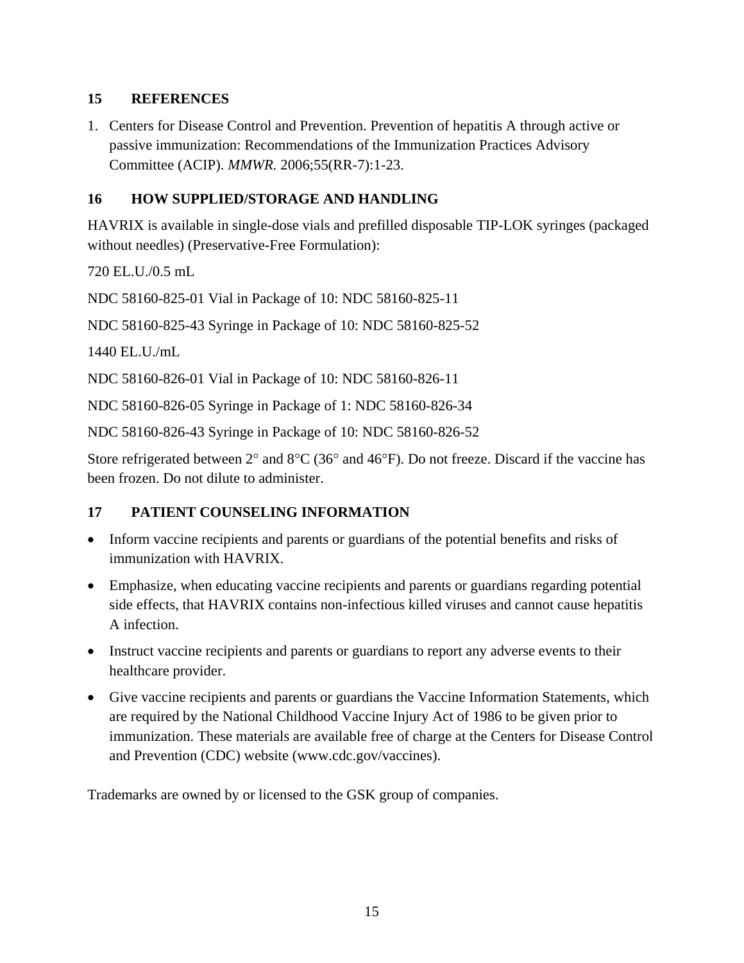### <span id="page-14-0"></span>**15 REFERENCES**

1. Centers for Disease Control and Prevention. Prevention of hepatitis A through active or passive immunization: Recommendations of the Immunization Practices Advisory Committee (ACIP). *MMWR.* 2006;55(RR-7):1-23.

## <span id="page-14-1"></span>**16 HOW SUPPLIED/STORAGE AND HANDLING**

HAVRIX is available in single-dose vials and prefilled disposable TIP-LOK syringes (packaged without needles) (Preservative-Free Formulation):

720 EL.U./0.5 mL

NDC 58160-825-01 Vial in Package of 10: NDC 58160-825-11

NDC 58160-825-43 Syringe in Package of 10: NDC 58160-825-52

1440 EL.U./mL

NDC 58160-826-01 Vial in Package of 10: NDC 58160-826-11

NDC 58160-826-05 Syringe in Package of 1: NDC 58160-826-34

NDC 58160-826-43 Syringe in Package of 10: NDC 58160-826-52

Store refrigerated between  $2^{\circ}$  and  $8^{\circ}C$  (36° and 46°F). Do not freeze. Discard if the vaccine has been frozen. Do not dilute to administer.

## <span id="page-14-2"></span>**17 PATIENT COUNSELING INFORMATION**

- Inform vaccine recipients and parents or guardians of the potential benefits and risks of immunization with HAVRIX.
- Emphasize, when educating vaccine recipients and parents or guardians regarding potential side effects, that HAVRIX contains non-infectious killed viruses and cannot cause hepatitis A infection.
- Instruct vaccine recipients and parents or guardians to report any adverse events to their healthcare provider.
- Give vaccine recipients and parents or guardians the Vaccine Information Statements, which are required by the National Childhood Vaccine Injury Act of 1986 to be given prior to immunization. These materials are available free of charge at the Centers for Disease Control and Prevention (CDC) website (www.cdc.gov/vaccines).

Trademarks are owned by or licensed to the GSK group of companies.